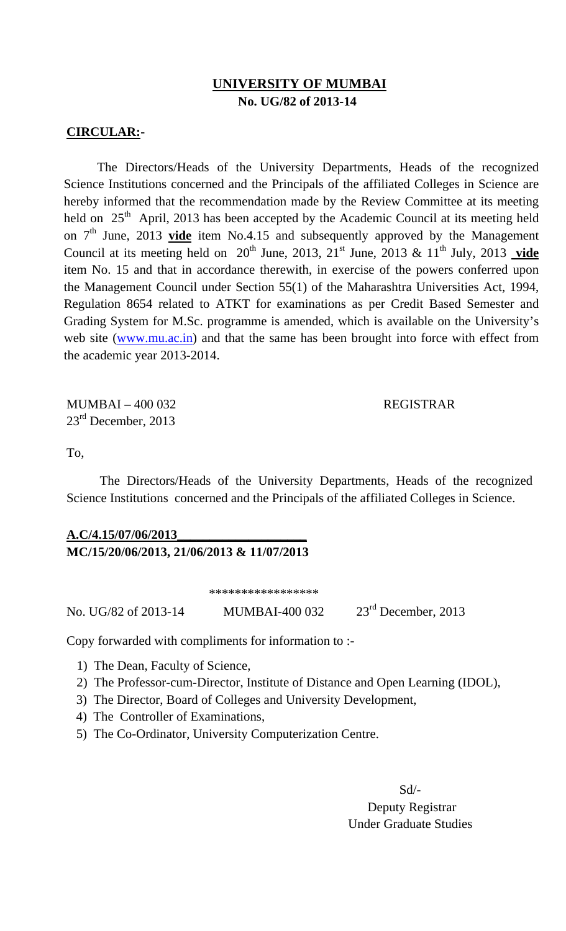### **UNIVERSITY OF MUMBAI No. UG/82 of 2013-14**

#### **CIRCULAR:-**

The Directors/Heads of the University Departments, Heads of the recognized Science Institutions concerned and the Principals of the affiliated Colleges in Science are hereby informed that the recommendation made by the Review Committee at its meeting held on  $25<sup>th</sup>$  April, 2013 has been accepted by the Academic Council at its meeting held on  $7<sup>th</sup>$  June, 2013 **vide** item No.4.15 and subsequently approved by the Management Council at its meeting held on  $20^{th}$  June, 2013,  $21^{st}$  June, 2013 &  $11^{th}$  July, 2013 vide item No. 15 and that in accordance therewith, in exercise of the powers conferred upon the Management Council under Section 55(1) of the Maharashtra Universities Act, 1994, Regulation 8654 related to ATKT for examinations as per Credit Based Semester and Grading System for M.Sc. programme is amended, which is available on the University's web site (www.mu.ac.in) and that the same has been brought into force with effect from the academic year 2013-2014.

MUMBAI – 400 032 REGISTRAR 23<sup>rd</sup> December, 2013

To,

The Directors/Heads of the University Departments, Heads of the recognized Science Institutions concerned and the Principals of the affiliated Colleges in Science.

## **A.C/4.15/07/06/2013\_\_\_\_\_\_\_\_\_\_\_\_\_\_\_\_\_\_\_\_ MC/15/20/06/2013, 21/06/2013 & 11/07/2013**

\*\*\*\*\*\*\*\*\*\*\*\*\*\*\*\*\*

No. UG/82 of 2013-14 MUMBAI-400 032 23rd December, 2013

Copy forwarded with compliments for information to :- 1) The Dean, Faculty of Science,

- 
- 2) The Professor-cum-Director, Institute of Distance and Open Learning (IDOL),
- 3) The Director, Board of Colleges and University Development,
- 4) The Controller of Examinations,
- 5) The Co-Ordinator, University Computerization Centre.

 Sd/- Deputy Registrar Under Graduate Studies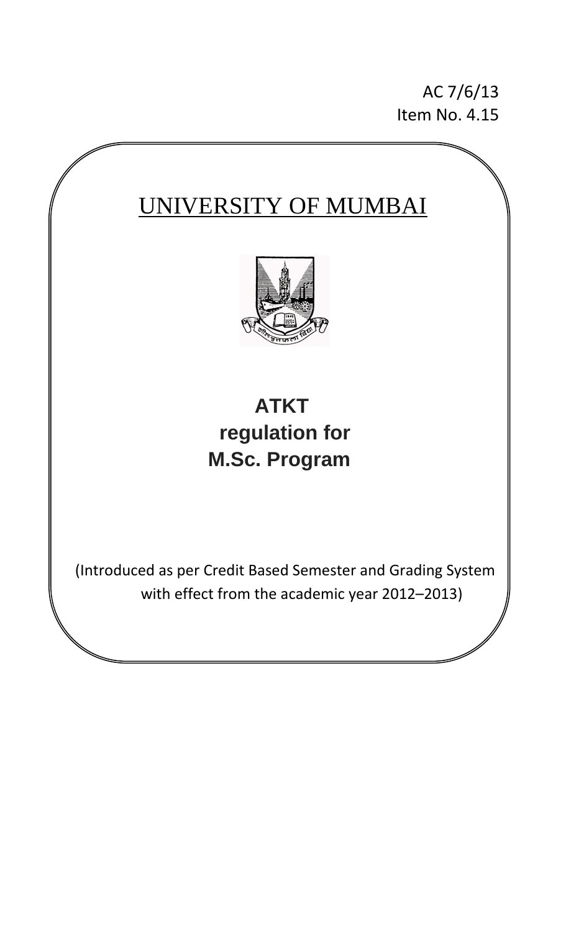AC 7/6/13 Item No. 4.15

## UNIVERSITY OF MUMBAI



# **ATKT regulation for M.Sc. Program**

(Introduced as per Credit Based Semester and Grading System with effect from the academic year 2012–2013)